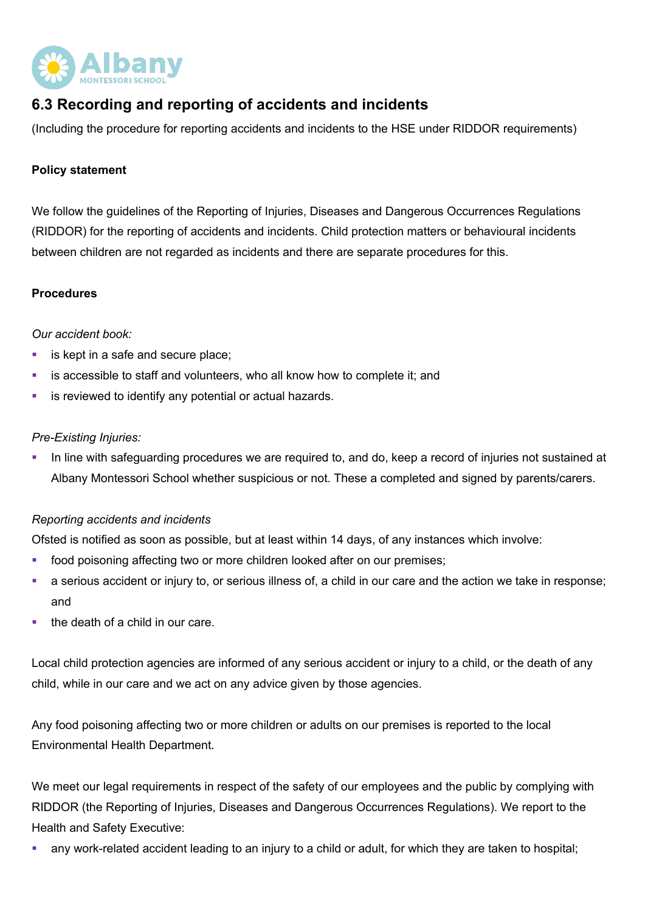

# **6.3 Recording and reporting of accidents and incidents**

(Including the procedure for reporting accidents and incidents to the HSE under RIDDOR requirements)

## **Policy statement**

We follow the guidelines of the Reporting of Injuries, Diseases and Dangerous Occurrences Regulations (RIDDOR) for the reporting of accidents and incidents. Child protection matters or behavioural incidents between children are not regarded as incidents and there are separate procedures for this.

### **Procedures**

### *Our accident book:*

- is kept in a safe and secure place;
- is accessible to staff and volunteers, who all know how to complete it; and
- is reviewed to identify any potential or actual hazards.

### *Pre-Existing Injuries:*

• In line with safeguarding procedures we are required to, and do, keep a record of injuries not sustained at Albany Montessori School whether suspicious or not. These a completed and signed by parents/carers.

#### *Reporting accidents and incidents*

Ofsted is notified as soon as possible, but at least within 14 days, of any instances which involve:

- food poisoning affecting two or more children looked after on our premises;
- a serious accident or injury to, or serious illness of, a child in our care and the action we take in response; and
- the death of a child in our care.

Local child protection agencies are informed of any serious accident or injury to a child, or the death of any child, while in our care and we act on any advice given by those agencies.

Any food poisoning affecting two or more children or adults on our premises is reported to the local Environmental Health Department.

We meet our legal requirements in respect of the safety of our employees and the public by complying with RIDDOR (the Reporting of Injuries, Diseases and Dangerous Occurrences Regulations). We report to the Health and Safety Executive:

any work-related accident leading to an injury to a child or adult, for which they are taken to hospital;